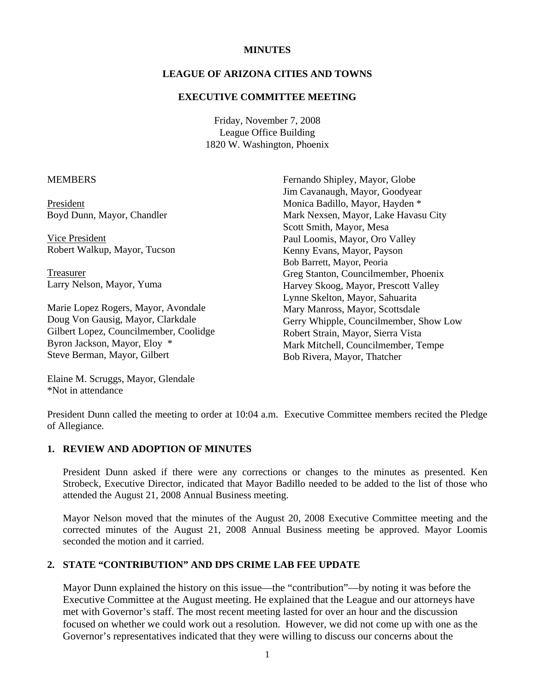#### **MINUTES**

## **LEAGUE OF ARIZONA CITIES AND TOWNS**

#### **EXECUTIVE COMMITTEE MEETING**

Friday, November 7, 2008 League Office Building 1820 W. Washington, Phoenix

#### **MEMBERS**

President Boyd Dunn, Mayor, Chandler

 Vice President Robert Walkup, Mayor, Tucson

 Treasurer Larry Nelson, Mayor, Yuma

Marie Lopez Rogers, Mayor, Avondale Doug Von Gausig, Mayor, Clarkdale Gilbert Lopez, Councilmember, Coolidge Byron Jackson, Mayor, Eloy \* Steve Berman, Mayor, Gilbert

Fernando Shipley, Mayor, Globe Jim Cavanaugh, Mayor, Goodyear Monica Badillo, Mayor, Hayden \* Mark Nexsen, Mayor, Lake Havasu City Scott Smith, Mayor, Mesa Paul Loomis, Mayor, Oro Valley Kenny Evans, Mayor, Payson Bob Barrett, Mayor, Peoria Greg Stanton, Councilmember, Phoenix Harvey Skoog, Mayor, Prescott Valley Lynne Skelton, Mayor, Sahuarita Mary Manross, Mayor, Scottsdale Gerry Whipple, Councilmember, Show Low Robert Strain, Mayor, Sierra Vista Mark Mitchell, Councilmember, Tempe Bob Rivera, Mayor, Thatcher

Elaine M. Scruggs, Mayor, Glendale \*Not in attendance

President Dunn called the meeting to order at 10:04 a.m. Executive Committee members recited the Pledge of Allegiance.

#### **1. REVIEW AND ADOPTION OF MINUTES**

President Dunn asked if there were any corrections or changes to the minutes as presented. Ken Strobeck, Executive Director, indicated that Mayor Badillo needed to be added to the list of those who attended the August 21, 2008 Annual Business meeting.

Mayor Nelson moved that the minutes of the August 20, 2008 Executive Committee meeting and the corrected minutes of the August 21, 2008 Annual Business meeting be approved. Mayor Loomis seconded the motion and it carried.

## **2. STATE "CONTRIBUTION" AND DPS CRIME LAB FEE UPDATE**

Mayor Dunn explained the history on this issue—the "contribution"—by noting it was before the Executive Committee at the August meeting. He explained that the League and our attorneys have met with Governor's staff. The most recent meeting lasted for over an hour and the discussion focused on whether we could work out a resolution. However, we did not come up with one as the Governor's representatives indicated that they were willing to discuss our concerns about the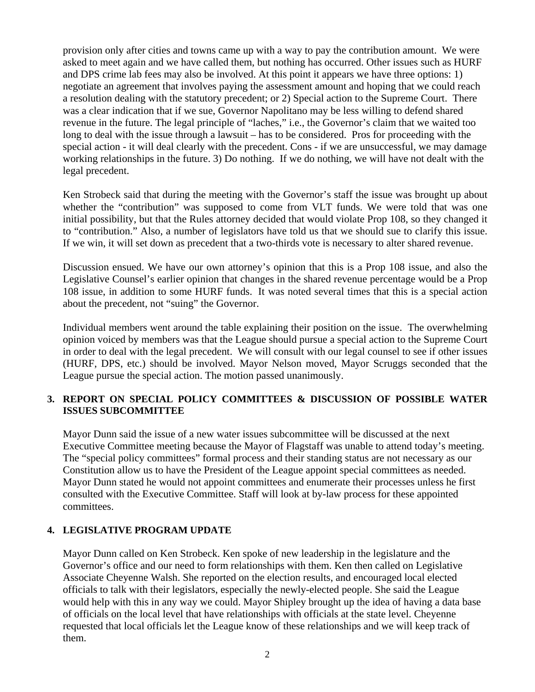provision only after cities and towns came up with a way to pay the contribution amount. We were asked to meet again and we have called them, but nothing has occurred. Other issues such as HURF and DPS crime lab fees may also be involved. At this point it appears we have three options: 1) negotiate an agreement that involves paying the assessment amount and hoping that we could reach a resolution dealing with the statutory precedent; or 2) Special action to the Supreme Court. There was a clear indication that if we sue, Governor Napolitano may be less willing to defend shared revenue in the future. The legal principle of "laches," i.e., the Governor's claim that we waited too long to deal with the issue through a lawsuit – has to be considered. Pros for proceeding with the special action - it will deal clearly with the precedent. Cons - if we are unsuccessful, we may damage working relationships in the future. 3) Do nothing. If we do nothing, we will have not dealt with the legal precedent.

Ken Strobeck said that during the meeting with the Governor's staff the issue was brought up about whether the "contribution" was supposed to come from VLT funds. We were told that was one initial possibility, but that the Rules attorney decided that would violate Prop 108, so they changed it to "contribution." Also, a number of legislators have told us that we should sue to clarify this issue. If we win, it will set down as precedent that a two-thirds vote is necessary to alter shared revenue.

Discussion ensued. We have our own attorney's opinion that this is a Prop 108 issue, and also the Legislative Counsel's earlier opinion that changes in the shared revenue percentage would be a Prop 108 issue, in addition to some HURF funds. It was noted several times that this is a special action about the precedent, not "suing" the Governor.

Individual members went around the table explaining their position on the issue. The overwhelming opinion voiced by members was that the League should pursue a special action to the Supreme Court in order to deal with the legal precedent. We will consult with our legal counsel to see if other issues (HURF, DPS, etc.) should be involved. Mayor Nelson moved, Mayor Scruggs seconded that the League pursue the special action. The motion passed unanimously.

# **3. REPORT ON SPECIAL POLICY COMMITTEES & DISCUSSION OF POSSIBLE WATER ISSUES SUBCOMMITTEE**

Mayor Dunn said the issue of a new water issues subcommittee will be discussed at the next Executive Committee meeting because the Mayor of Flagstaff was unable to attend today's meeting. The "special policy committees" formal process and their standing status are not necessary as our Constitution allow us to have the President of the League appoint special committees as needed. Mayor Dunn stated he would not appoint committees and enumerate their processes unless he first consulted with the Executive Committee. Staff will look at by-law process for these appointed committees.

# **4. LEGISLATIVE PROGRAM UPDATE**

Mayor Dunn called on Ken Strobeck. Ken spoke of new leadership in the legislature and the Governor's office and our need to form relationships with them. Ken then called on Legislative Associate Cheyenne Walsh. She reported on the election results, and encouraged local elected officials to talk with their legislators, especially the newly-elected people. She said the League would help with this in any way we could. Mayor Shipley brought up the idea of having a data base of officials on the local level that have relationships with officials at the state level. Cheyenne requested that local officials let the League know of these relationships and we will keep track of them.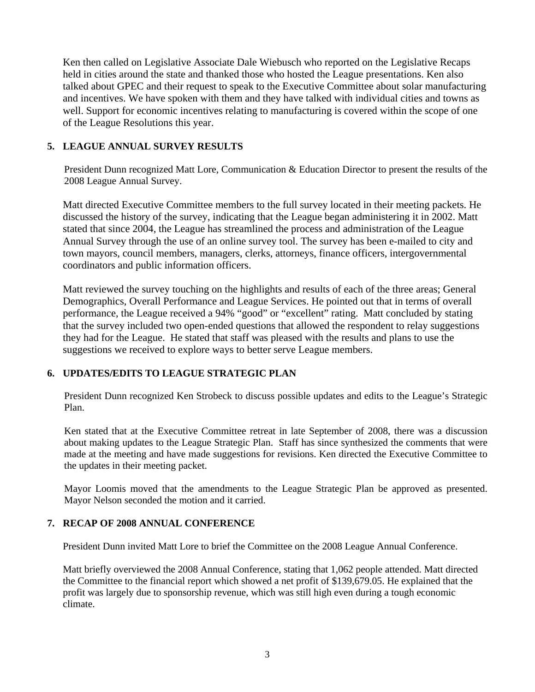Ken then called on Legislative Associate Dale Wiebusch who reported on the Legislative Recaps held in cities around the state and thanked those who hosted the League presentations. Ken also talked about GPEC and their request to speak to the Executive Committee about solar manufacturing and incentives. We have spoken with them and they have talked with individual cities and towns as well. Support for economic incentives relating to manufacturing is covered within the scope of one of the League Resolutions this year.

# **5. LEAGUE ANNUAL SURVEY RESULTS**

President Dunn recognized Matt Lore, Communication & Education Director to present the results of the 2008 League Annual Survey.

Matt directed Executive Committee members to the full survey located in their meeting packets. He discussed the history of the survey, indicating that the League began administering it in 2002. Matt stated that since 2004, the League has streamlined the process and administration of the League Annual Survey through the use of an online survey tool. The survey has been e-mailed to city and town mayors, council members, managers, clerks, attorneys, finance officers, intergovernmental coordinators and public information officers.

Matt reviewed the survey touching on the highlights and results of each of the three areas; General Demographics, Overall Performance and League Services. He pointed out that in terms of overall performance, the League received a 94% "good" or "excellent" rating. Matt concluded by stating that the survey included two open-ended questions that allowed the respondent to relay suggestions they had for the League. He stated that staff was pleased with the results and plans to use the suggestions we received to explore ways to better serve League members.

# **6. UPDATES/EDITS TO LEAGUE STRATEGIC PLAN**

President Dunn recognized Ken Strobeck to discuss possible updates and edits to the League's Strategic Plan.

Ken stated that at the Executive Committee retreat in late September of 2008, there was a discussion about making updates to the League Strategic Plan. Staff has since synthesized the comments that were made at the meeting and have made suggestions for revisions. Ken directed the Executive Committee to the updates in their meeting packet.

Mayor Loomis moved that the amendments to the League Strategic Plan be approved as presented. Mayor Nelson seconded the motion and it carried.

# **7. RECAP OF 2008 ANNUAL CONFERENCE**

President Dunn invited Matt Lore to brief the Committee on the 2008 League Annual Conference.

Matt briefly overviewed the 2008 Annual Conference, stating that 1,062 people attended. Matt directed the Committee to the financial report which showed a net profit of \$139,679.05. He explained that the profit was largely due to sponsorship revenue, which was still high even during a tough economic climate.